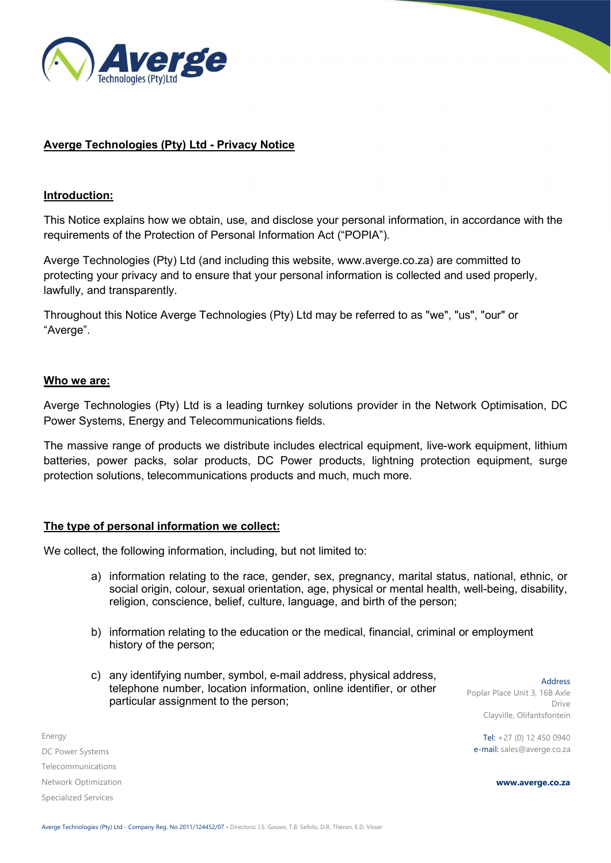

# Averge Technologies (Pty) Ltd - Privacy Notice

### Introduction:

This Notice explains how we obtain, use, and disclose your personal information, in accordance with the requirements of the Protection of Personal Information Act ("POPIA").

Averge Technologies (Pty) Ltd (and including this website, www.averge.co.za) are committed to protecting your privacy and to ensure that your personal information is collected and used properly, lawfully, and transparently.

Throughout this Notice Averge Technologies (Pty) Ltd may be referred to as "we", "us", "our" or "Averge".

### Who we are:

Averge Technologies (Pty) Ltd is a leading turnkey solutions provider in the Network Optimisation, DC Power Systems, Energy and Telecommunications fields.

The massive range of products we distribute includes electrical equipment, live-work equipment, lithium batteries, power packs, solar products, DC Power products, lightning protection equipment, surge protection solutions, telecommunications products and much, much more.

### The type of personal information we collect:

We collect, the following information, including, but not limited to:

- a) information relating to the race, gender, sex, pregnancy, marital status, national, ethnic, or social origin, colour, sexual orientation, age, physical or mental health, well-being, disability, religion, conscience, belief, culture, language, and birth of the person;
- b) information relating to the education or the medical, financial, criminal or employment history of the person;
- c) any identifying number, symbol, e-mail address, physical address, telephone number, location information, online identifier, or other particular assignment to the person;

Address Poplar Place Unit 3, 16B Axle Drive Clayville, Olifantsfontein

Tel: +27 (0) 12 450 0940 e-mail: sales@averge.co.za

Energy DC Power Systems Telecommunications Network Optimization Specialized Services

www.averge.co.za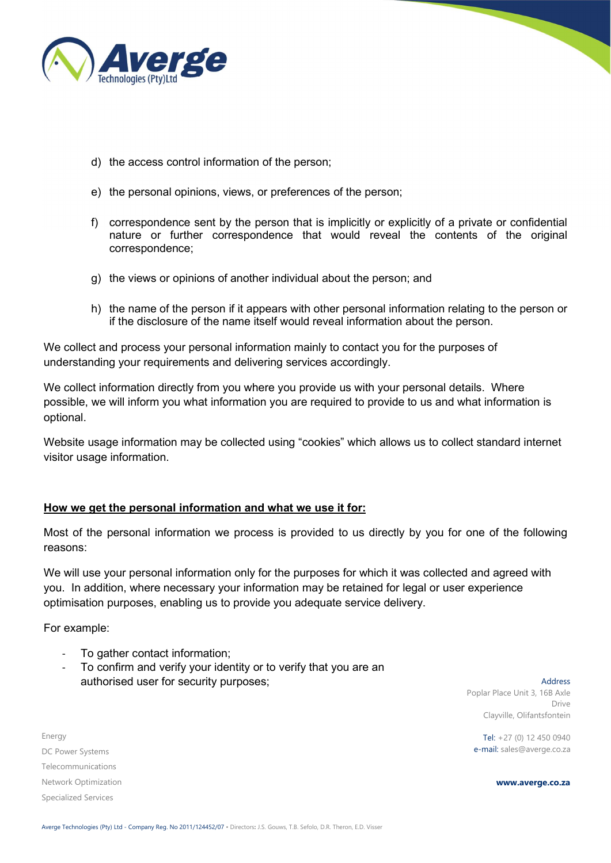

- d) the access control information of the person;
- e) the personal opinions, views, or preferences of the person;
- f) correspondence sent by the person that is implicitly or explicitly of a private or confidential nature or further correspondence that would reveal the contents of the original correspondence;
- g) the views or opinions of another individual about the person; and
- h) the name of the person if it appears with other personal information relating to the person or if the disclosure of the name itself would reveal information about the person.

We collect and process your personal information mainly to contact you for the purposes of understanding your requirements and delivering services accordingly.

We collect information directly from you where you provide us with your personal details. Where possible, we will inform you what information you are required to provide to us and what information is optional.

Website usage information may be collected using "cookies" which allows us to collect standard internet visitor usage information.

# How we get the personal information and what we use it for:

Most of the personal information we process is provided to us directly by you for one of the following reasons:

We will use your personal information only for the purposes for which it was collected and agreed with you. In addition, where necessary your information may be retained for legal or user experience optimisation purposes, enabling us to provide you adequate service delivery.

For example:

- To gather contact information;
- To confirm and verify your identity or to verify that you are an authorised user for security purposes;

Energy DC Power Systems Telecommunications Network Optimization Specialized Services

Address Poplar Place Unit 3, 16B Axle Drive Clayville, Olifantsfontein

Tel: +27 (0) 12 450 0940 e-mail: sales@averge.co.za

www.averge.co.za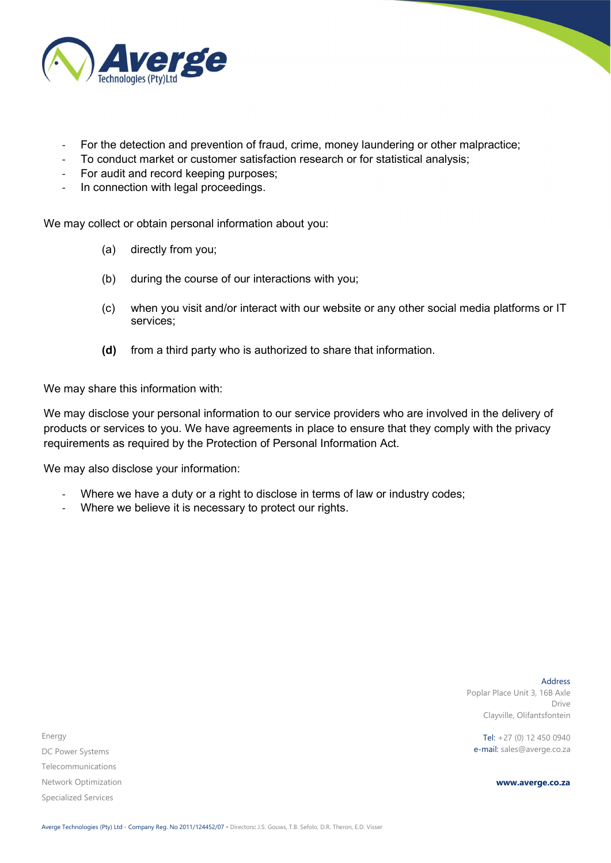

- For the detection and prevention of fraud, crime, money laundering or other malpractice;
- To conduct market or customer satisfaction research or for statistical analysis;
- For audit and record keeping purposes;
- In connection with legal proceedings.

We may collect or obtain personal information about you:

- (a) directly from you;
- (b) during the course of our interactions with you;
- (c) when you visit and/or interact with our website or any other social media platforms or IT services;
- (d) from a third party who is authorized to share that information.

We may share this information with:

We may disclose your personal information to our service providers who are involved in the delivery of products or services to you. We have agreements in place to ensure that they comply with the privacy requirements as required by the Protection of Personal Information Act.

We may also disclose your information:

- Where we have a duty or a right to disclose in terms of law or industry codes;
- Where we believe it is necessary to protect our rights.

Address Poplar Place Unit 3, 16B Axle Drive Clayville, Olifantsfontein

Tel: +27 (0) 12 450 0940 e-mail: sales@averge.co.za

www.averge.co.za

Energy DC Power Systems Telecommunications Network Optimization Specialized Services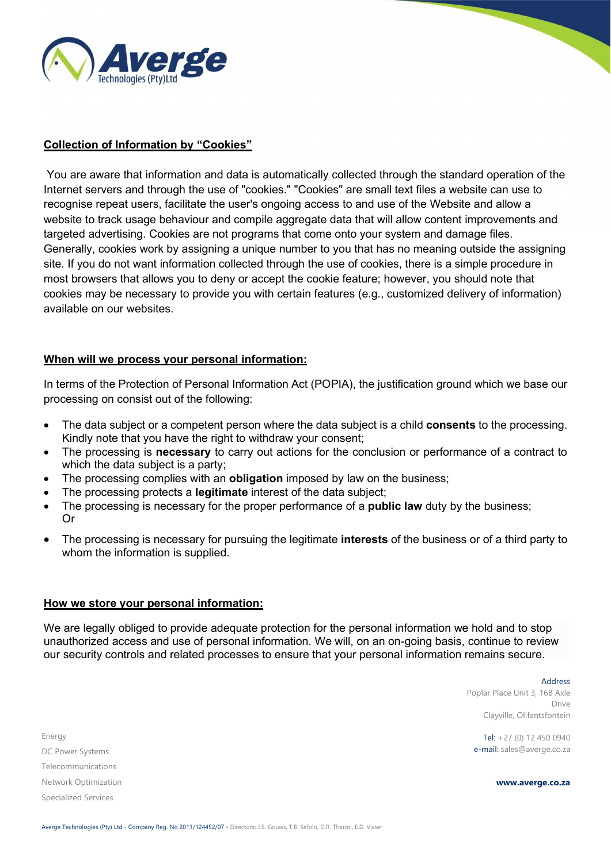

# Collection of Information by "Cookies"

 You are aware that information and data is automatically collected through the standard operation of the Internet servers and through the use of "cookies." "Cookies" are small text files a website can use to recognise repeat users, facilitate the user's ongoing access to and use of the Website and allow a website to track usage behaviour and compile aggregate data that will allow content improvements and targeted advertising. Cookies are not programs that come onto your system and damage files. Generally, cookies work by assigning a unique number to you that has no meaning outside the assigning site. If you do not want information collected through the use of cookies, there is a simple procedure in most browsers that allows you to deny or accept the cookie feature; however, you should note that cookies may be necessary to provide you with certain features (e.g., customized delivery of information) available on our websites.

# When will we process your personal information:

In terms of the Protection of Personal Information Act (POPIA), the justification ground which we base our processing on consist out of the following:

- The data subject or a competent person where the data subject is a child **consents** to the processing. Kindly note that you have the right to withdraw your consent;
- The processing is necessary to carry out actions for the conclusion or performance of a contract to which the data subject is a party;
- The processing complies with an **obligation** imposed by law on the business;
- The processing protects a **legitimate** interest of the data subject;
- The processing is necessary for the proper performance of a **public law** duty by the business; Or
- The processing is necessary for pursuing the legitimate interests of the business or of a third party to whom the information is supplied.

### How we store your personal information:

We are legally obliged to provide adequate protection for the personal information we hold and to stop unauthorized access and use of personal information. We will, on an on-going basis, continue to review our security controls and related processes to ensure that your personal information remains secure.

> Address Poplar Place Unit 3, 16B Axle Drive Clayville, Olifantsfontein

Tel: +27 (0) 12 450 0940 e-mail: sales@averge.co.za

www.averge.co.za

Energy DC Power Systems Telecommunications Network Optimization Specialized Services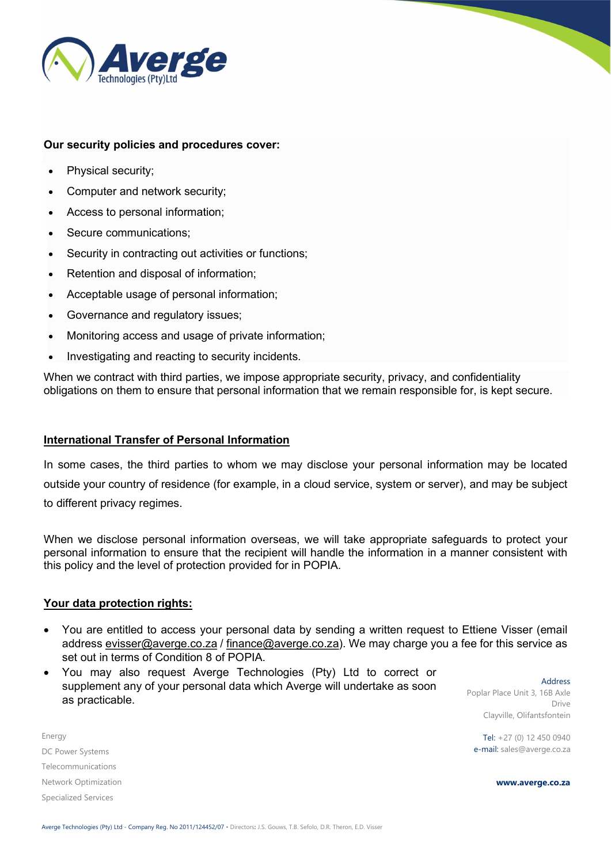

### Our security policies and procedures cover:

- Physical security;
- Computer and network security;
- Access to personal information;
- Secure communications;
- Security in contracting out activities or functions;
- Retention and disposal of information;
- Acceptable usage of personal information;
- Governance and regulatory issues;
- Monitoring access and usage of private information;
- Investigating and reacting to security incidents.

When we contract with third parties, we impose appropriate security, privacy, and confidentiality obligations on them to ensure that personal information that we remain responsible for, is kept secure.

### International Transfer of Personal Information

In some cases, the third parties to whom we may disclose your personal information may be located outside your country of residence (for example, in a cloud service, system or server), and may be subject to different privacy regimes.

When we disclose personal information overseas, we will take appropriate safeguards to protect your personal information to ensure that the recipient will handle the information in a manner consistent with this policy and the level of protection provided for in POPIA.

### Your data protection rights:

- You are entitled to access your personal data by sending a written request to Ettiene Visser (email address evisser@averge.co.za / finance@averge.co.za). We may charge you a fee for this service as set out in terms of Condition 8 of POPIA.
- You may also request Averge Technologies (Pty) Ltd to correct or supplement any of your personal data which Averge will undertake as soon as practicable.

Address Poplar Place Unit 3, 16B Axle Drive Clayville, Olifantsfontein

Tel: +27 (0) 12 450 0940 e-mail: sales@averge.co.za

www.averge.co.za

Energy